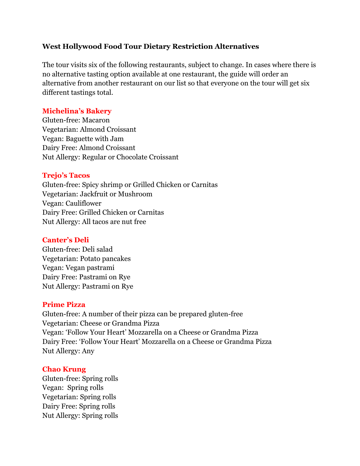# **West Hollywood Food Tour Dietary Restriction Alternatives**

The tour visits six of the following restaurants, subject to change. In cases where there is no alternative tasting option available at one restaurant, the guide will order an alternative from another restaurant on our list so that everyone on the tour will get six different tastings total.

# **Michelina's Bakery**

Gluten-free: Macaron Vegetarian: Almond Croissant Vegan: Baguette with Jam Dairy Free: Almond Croissant Nut Allergy: Regular or Chocolate Croissant

### **Trejo's Tacos**

Gluten-free: Spicy shrimp or Grilled Chicken or Carnitas Vegetarian: Jackfruit or Mushroom Vegan: Cauliflower Dairy Free: Grilled Chicken or Carnitas Nut Allergy: All tacos are nut free

### **Canter's Deli**

Gluten-free: Deli salad Vegetarian: Potato pancakes Vegan: Vegan pastrami Dairy Free: Pastrami on Rye Nut Allergy: Pastrami on Rye

### **Prime Pizza**

Gluten-free: A number of their pizza can be prepared gluten-free Vegetarian: Cheese or Grandma Pizza Vegan: 'Follow Your Heart' Mozzarella on a Cheese or Grandma Pizza Dairy Free: 'Follow Your Heart' Mozzarella on a Cheese or Grandma Pizza Nut Allergy: Any

#### **Chao Krung**

Gluten-free: Spring rolls Vegan: Spring rolls Vegetarian: Spring rolls Dairy Free: Spring rolls Nut Allergy: Spring rolls